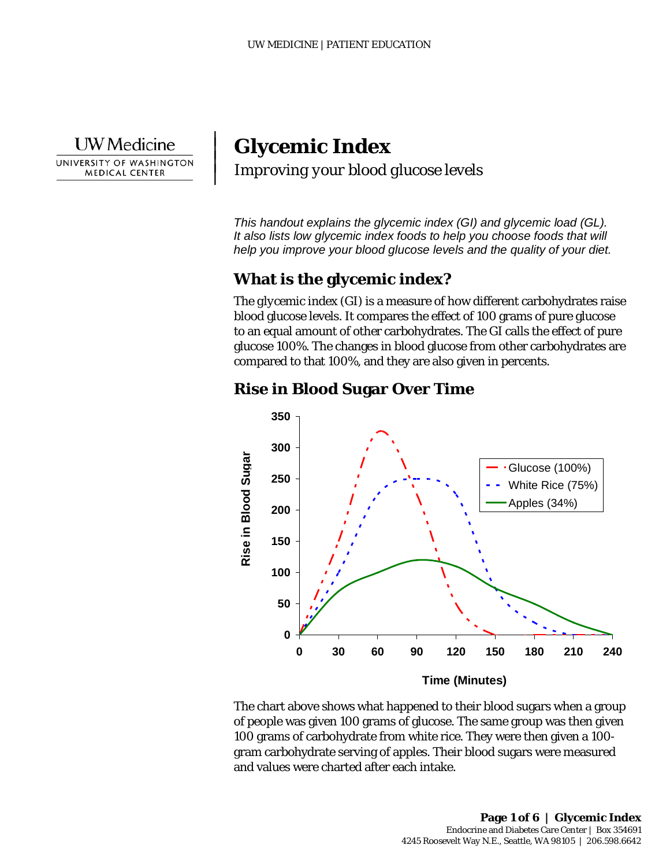**UW** Medicine

|  $\vert$  $\vert$  $\vert$ 

UNIVERSITY OF WASHINGTON MEDICAL CENTER

# **Glycemic Index** *Improving your blood glucose levels*

*This handout explains the glycemic index (GI) and glycemic load (GL). It also lists low glycemic index foods to help you choose foods that will help you improve your blood glucose levels and the quality of your diet.*

# **What is the glycemic index?**

The *glycemic index* (GI) is a measure of how different carbohydrat<br>blood glucose levels. It compares the effect of 100 grams of pure gli<br>to an equal amount of other carbohydrates. The GI calls the effect of<br>glucose 100%. The *glycemic index* (GI) is a measure of how different carbohydrates raise blood glucose levels. It compares the effect of 100 grams of pure glucose to an equal amount of other carbohydrates. The GI calls the effect of pure glucose 100%. The changes in blood glucose from other carbohydrates are compared to that 100%, and they are also given in percents.

## **Rise in Blood Sugar Over Time**

 $\_$  ,  $\_$  ,  $\_$  ,  $\_$  ,  $\_$  ,  $\_$  ,  $\_$  ,  $\_$  ,  $\_$  ,  $\_$  ,  $\_$  ,  $\_$  ,  $\_$  ,  $\_$  ,  $\_$  ,  $\_$  ,  $\_$  ,  $\_$  ,  $\_$  ,  $\_$  ,  $\_$  ,  $\_$  ,  $\_$  ,  $\_$  ,  $\_$  ,  $\_$  ,  $\_$  ,  $\_$  ,  $\_$  ,  $\_$  ,  $\_$  ,  $\_$  ,  $\_$  ,  $\_$  ,  $\_$  ,  $\_$  ,  $\_$  ,



The chart above shows what happened to their blood sugars when a group of people was given 100 grams of glucose. The same group was then given 100 grams of carbohydrate from white rice. They were then given a 100 gram carbohydrate serving of apples. Their blood sugars were measured and values were charted after each intake.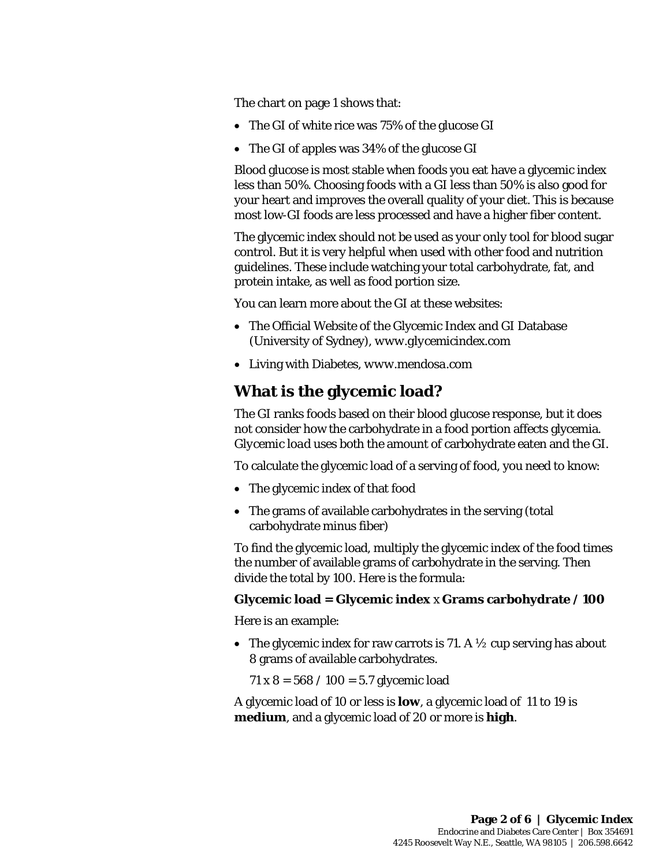The chart on page 1 shows that:

- The GI of white rice was 75% of the glucose GI
- The GI of apples was 34% of the glucose GI

Blood glucose is most stable when foods you eat have a glycemic index less than 50%. Choosing foods with a GI less than 50% is also good for your heart and improves the overall quality of your diet. This is because most low-GI foods are less processed and have a higher fiber content.

The glycemic index should not be used as your only tool for blood sugar control. But it is very helpful when used with other food and nutrition guidelines. These include watching your total carbohydrate, fat, and protein intake, as well as food portion size.

You can learn more about the GI at these websites:

- You can learn more about the GI at these websites:<br>
 The Official Website of the Glycemic Index and GI Database<br>
(University of Sydney), *www.glycemicindex.com*<br>
 Living with Diabetes, *www.mendosa.com*<br> **What is the gly** • The Official Website of the Glycemic Index and GI Database (University of Sydney), *www.glycemicindex.com*
	- Living with Diabetes, *www.mendosa.com*

## **What is the glycemic load?**

The GI ranks foods based on their blood glucose response, but it does not consider how the carbohydrate in a food portion affects glycemia. *Glycemic load* uses both the amount of carbohydrate eaten and the GI.

To calculate the glycemic load of a serving of food, you need to know:

- The glycemic index of that food
- The grams of available carbohydrates in the serving (total carbohydrate minus fiber)

To find the glycemic load, multiply the glycemic index of the food times the number of available grams of carbohydrate in the serving. Then divide the total by 100. Here is the formula:

#### **Glycemic load = Glycemic index** x **Grams carbohydrate / 100**

Here is an example:

• The glycemic index for raw carrots is 71. A  $\frac{1}{2}$  cup serving has about 8 grams of available carbohydrates.

71 x 8 = 568 / 100 = 5.7 glycemic load

 $\_$  ,  $\_$  ,  $\_$  ,  $\_$  ,  $\_$  ,  $\_$  ,  $\_$  ,  $\_$  ,  $\_$  ,  $\_$  ,  $\_$  ,  $\_$  ,  $\_$  ,  $\_$  ,  $\_$  ,  $\_$  ,  $\_$  ,  $\_$  ,  $\_$  ,  $\_$  ,  $\_$  ,  $\_$  ,  $\_$  ,  $\_$  ,  $\_$  ,  $\_$  ,  $\_$  ,  $\_$  ,  $\_$  ,  $\_$  ,  $\_$  ,  $\_$  ,  $\_$  ,  $\_$  ,  $\_$  ,  $\_$  ,  $\_$  ,

A glycemic load of 10 or less is **low**, a glycemic load of 11 to 19 is **medium**, and a glycemic load of 20 or more is **high**.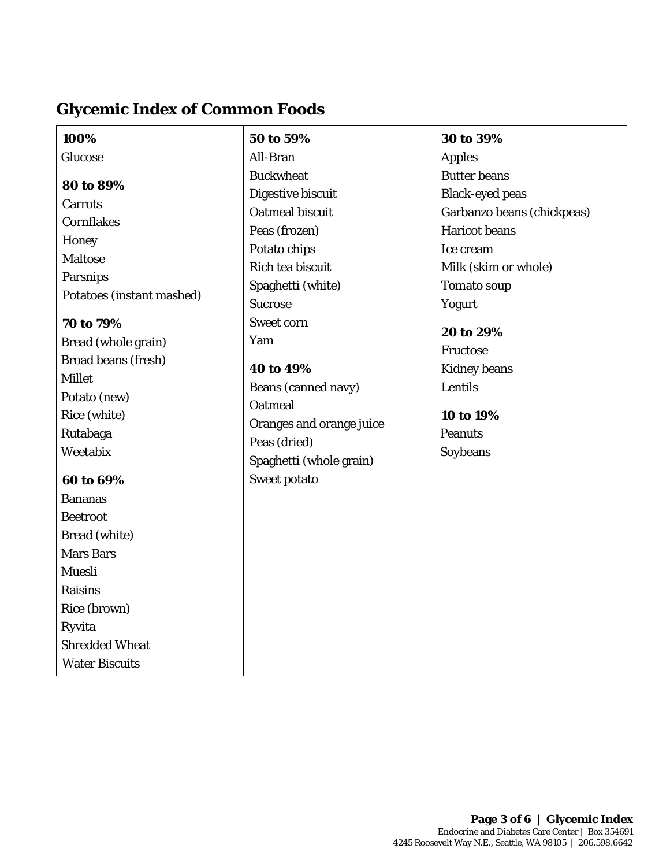# **Glycemic Index of Common Foods**

| 100%                                       | 50 to 59%                                | 30 to 39%                                     |
|--------------------------------------------|------------------------------------------|-----------------------------------------------|
| Glucose                                    | All-Bran                                 | <b>Apples</b>                                 |
| 80 to 89%                                  | <b>Buckwheat</b><br>Digestive biscuit    | <b>Butter beans</b><br><b>Black-eyed peas</b> |
| Carrots<br><b>Cornflakes</b>               | <b>Oatmeal biscuit</b>                   | Garbanzo beans (chickpeas)                    |
| Honey                                      | Peas (frozen)                            | <b>Haricot</b> beans                          |
| <b>Maltose</b>                             | Potato chips                             | Ice cream                                     |
| Parsnips                                   | Rich tea biscuit                         | Milk (skim or whole)                          |
| Potatoes (instant mashed)                  | Spaghetti (white)<br><b>Sucrose</b>      | Tomato soup<br>Yogurt                         |
| 70 to 79%                                  | <b>Sweet corn</b>                        | 20 to 29%                                     |
| Bread (whole grain)<br>Broad beans (fresh) | Yam                                      | Fructose                                      |
| <b>Millet</b>                              | 40 to 49%<br>Beans (canned navy)         | <b>Kidney beans</b><br>Lentils                |
| Potato (new)<br>Rice (white)               | <b>Oatmeal</b>                           | 10 to 19%                                     |
| Rutabaga                                   | Oranges and orange juice<br>Peas (dried) | <b>Peanuts</b>                                |
| Weetabix                                   | Spaghetti (whole grain)                  | Soybeans                                      |
| 60 to 69%                                  | Sweet potato                             |                                               |
| <b>Bananas</b>                             |                                          |                                               |
| <b>Beetroot</b>                            |                                          |                                               |
| Bread (white)                              |                                          |                                               |
| <b>Mars Bars</b>                           |                                          |                                               |
| <b>Muesli</b>                              |                                          |                                               |
| <b>Raisins</b>                             |                                          |                                               |
| Rice (brown)                               |                                          |                                               |
| Ryvita                                     |                                          |                                               |
| <b>Shredded Wheat</b>                      |                                          |                                               |
| <b>Water Biscuits</b>                      |                                          |                                               |

 $\_$  ,  $\_$  ,  $\_$  ,  $\_$  ,  $\_$  ,  $\_$  ,  $\_$  ,  $\_$  ,  $\_$  ,  $\_$  ,  $\_$  ,  $\_$  ,  $\_$  ,  $\_$  ,  $\_$  ,  $\_$  ,  $\_$  ,  $\_$  ,  $\_$  ,  $\_$  ,  $\_$  ,  $\_$  ,  $\_$  ,  $\_$  ,  $\_$  ,  $\_$  ,  $\_$  ,  $\_$  ,  $\_$  ,  $\_$  ,  $\_$  ,  $\_$  ,  $\_$  ,  $\_$  ,  $\_$  ,  $\_$  ,  $\_$  ,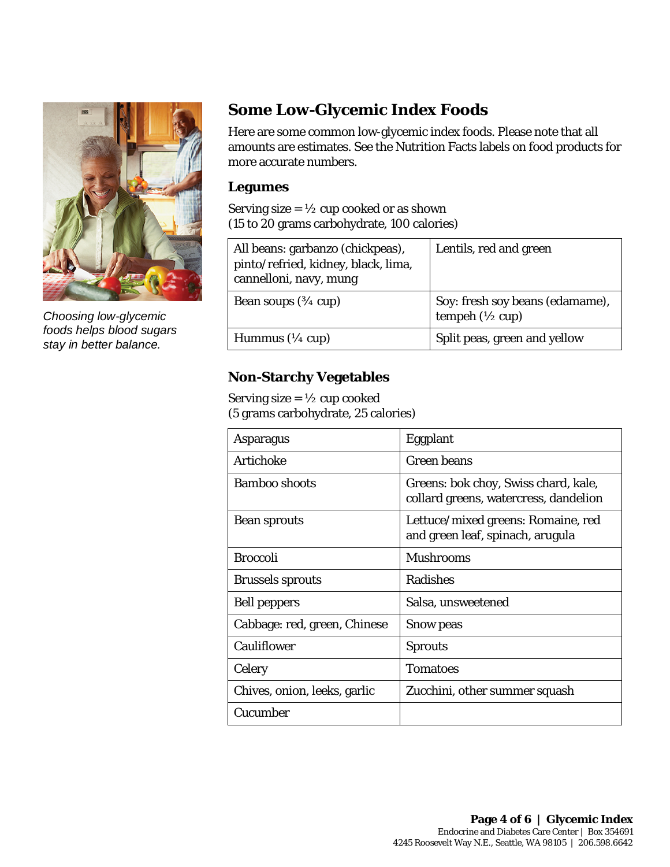

*Choosing low-glycemic foods helps blood sugars stay in better balance.*

# **Some Low-Glycemic Index Foods**

Here are some common low-glycemic index foods. Please note that all amounts are estimates. See the Nutrition Facts labels on food products for more accurate numbers.

#### **Legumes**

Serving size  $= \frac{1}{2}$  cup cooked or as shown (15 to 20 grams carbohydrate, 100 calories)

|                                     | All beans: garbanzo (chickpeas),<br>pinto/refried, kidney, black, lima,<br>cannelloni, navy, mung | Lentils, red and green                                        |
|-------------------------------------|---------------------------------------------------------------------------------------------------|---------------------------------------------------------------|
| g low-glycemic                      | Bean soups $(3/4 \text{ cup})$                                                                    | Soy: fresh soy beans (edamame),<br>tempeh $(\frac{1}{2}$ cup) |
| lps blood sugars!<br>etter balance. | Hummus $(\frac{1}{4}$ cup)                                                                        | Split peas, green and yellow                                  |
|                                     | <b>Non-Starchy Vegetables</b>                                                                     |                                                               |
|                                     | Serving size = $\frac{1}{2}$ cup cooked<br>(5 grams carbohydrate, 25 calories)                    |                                                               |
|                                     |                                                                                                   |                                                               |

#### **Non-Starchy Vegetables**

 $\_$  ,  $\_$  ,  $\_$  ,  $\_$  ,  $\_$  ,  $\_$  ,  $\_$  ,  $\_$  ,  $\_$  ,  $\_$  ,  $\_$  ,  $\_$  ,  $\_$  ,  $\_$  ,  $\_$  ,  $\_$  ,  $\_$  ,  $\_$  ,  $\_$  ,  $\_$  ,  $\_$  ,  $\_$  ,  $\_$  ,  $\_$  ,  $\_$  ,  $\_$  ,  $\_$  ,  $\_$  ,  $\_$  ,  $\_$  ,  $\_$  ,  $\_$  ,  $\_$  ,  $\_$  ,  $\_$  ,  $\_$  ,  $\_$  ,

| <b>Asparagus</b>             | Eggplant                                                                      |
|------------------------------|-------------------------------------------------------------------------------|
| Artichoke                    | <b>Green</b> beans                                                            |
| Bamboo shoots                | Greens: bok choy, Swiss chard, kale,<br>collard greens, watercress, dandelion |
| <b>Bean sprouts</b>          | Lettuce/mixed greens: Romaine, red<br>and green leaf, spinach, arugula        |
| <b>Broccoli</b>              | <b>Mushrooms</b>                                                              |
| <b>Brussels sprouts</b>      | <b>Radishes</b>                                                               |
| <b>Bell peppers</b>          | Salsa, unsweetened                                                            |
| Cabbage: red, green, Chinese | Snow peas                                                                     |
| <b>Cauliflower</b>           | <b>Sprouts</b>                                                                |
| Celery                       | <b>Tomatoes</b>                                                               |
| Chives, onion, leeks, garlic | Zucchini, other summer squash                                                 |
| Cucumber                     |                                                                               |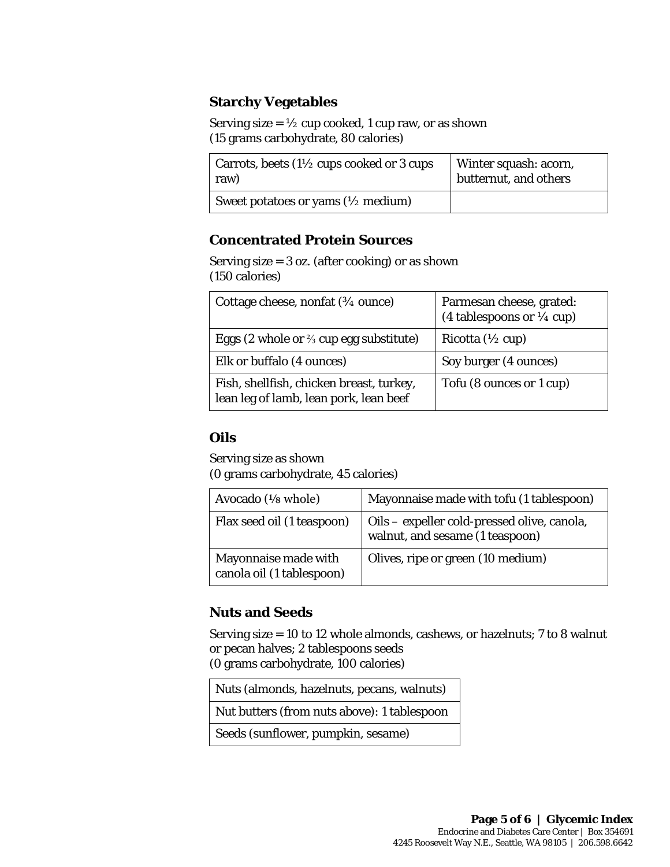#### **Starchy Vegetables**

Serving size =  $\frac{1}{2}$  cup cooked, 1 cup raw, or as shown (15 grams carbohydrate, 80 calories)

| Carrots, beets $(1\frac{1}{2})$ cups cooked or 3 cups | Winter squash: acorn, |
|-------------------------------------------------------|-----------------------|
| raw)                                                  | butternut, and others |
| Sweet potatoes or yams $(\frac{1}{2})$ medium)        |                       |

#### **Concentrated Protein Sources**

Serving size  $=$  3 oz. (after cooking) or as shown (150 calories)

| Cottage cheese, nonfat (3/4 ounce)                                                 | Parmesan cheese, grated:<br>(4 tablespoons or $\frac{1}{4}$ cup) |
|------------------------------------------------------------------------------------|------------------------------------------------------------------|
| Eggs (2 whole or $\frac{2}{3}$ cup egg substitute)                                 | Ricotta $(\frac{1}{2}$ cup)                                      |
| Elk or buffalo (4 ounces)                                                          | Soy burger (4 ounces)                                            |
| Fish, shellfish, chicken breast, turkey,<br>lean leg of lamb, lean pork, lean beef | Tofu (8 ounces or 1 cup)                                         |
|                                                                                    |                                                                  |

#### **Oils**

Serving size as shown (0 grams carbohydrate, 45 calories)

| Avocado $(\frac{1}{8}$ whole)                     | Mayonnaise made with tofu (1 tablespoon)                                       |
|---------------------------------------------------|--------------------------------------------------------------------------------|
| Flax seed oil (1 teaspoon)                        | Oils – expeller cold-pressed olive, canola,<br>walnut, and sesame (1 teaspoon) |
| Mayonnaise made with<br>canola oil (1 tablespoon) | Olives, ripe or green (10 medium)                                              |

### **Nuts and Seeds**

Serving size = 10 to 12 whole almonds, cashews, or hazelnuts; 7 to 8 walnut or pecan halves; 2 tablespoons seeds (0 grams carbohydrate, 100 calories)

Nuts (almonds, hazelnuts, pecans, walnuts)

Nut butters (from nuts above): 1 tablespoon

 $\_$  ,  $\_$  ,  $\_$  ,  $\_$  ,  $\_$  ,  $\_$  ,  $\_$  ,  $\_$  ,  $\_$  ,  $\_$  ,  $\_$  ,  $\_$  ,  $\_$  ,  $\_$  ,  $\_$  ,  $\_$  ,  $\_$  ,  $\_$  ,  $\_$  ,  $\_$  ,  $\_$  ,  $\_$  ,  $\_$  ,  $\_$  ,  $\_$  ,  $\_$  ,  $\_$  ,  $\_$  ,  $\_$  ,  $\_$  ,  $\_$  ,  $\_$  ,  $\_$  ,  $\_$  ,  $\_$  ,  $\_$  ,  $\_$  ,

Seeds (sunflower, pumpkin, sesame)